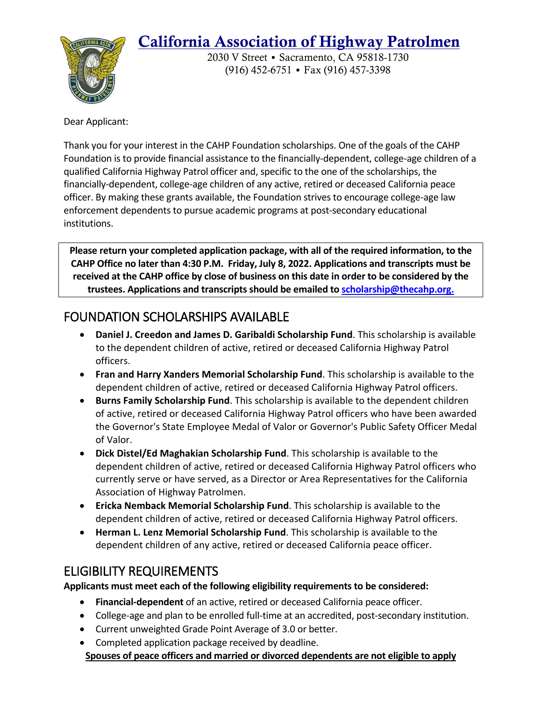# California Association of Highway Patrolmen



2030 V Street ▪ Sacramento, CA 95818-1730 (916) 452-6751 ▪ Fax (916) 457-3398

Dear Applicant:

Thank you for your interest in the CAHP Foundation scholarships. One of the goals of the CAHP Foundation is to provide financial assistance to the financially-dependent, college-age children of a qualified California Highway Patrol officer and, specific to the one of the scholarships, the financially-dependent, college-age children of any active, retired or deceased California peace officer. By making these grants available, the Foundation strives to encourage college-age law enforcement dependents to pursue academic programs at post-secondary educational institutions.

**Please return your completed application package, with all of the required information, to the CAHP Office no later than 4:30 P.M. Friday, July 8, 2022. Applications and transcripts must be received at the CAHP office by close of business on this date in order to be considered by the trustees. Applications and transcripts should be emailed to [scholarship@thecahp.org.](mailto:scholarship@thecahp.org)**

# FOUNDATION SCHOLARSHIPS AVAILABLE

- **Daniel J. Creedon and James D. Garibaldi Scholarship Fund**. This scholarship is available to the dependent children of active, retired or deceased California Highway Patrol officers.
- **Fran and Harry Xanders Memorial Scholarship Fund**. This scholarship is available to the dependent children of active, retired or deceased California Highway Patrol officers.
- **Burns Family Scholarship Fund**. This scholarship is available to the dependent children of active, retired or deceased California Highway Patrol officers who have been awarded the Governor's State Employee Medal of Valor or Governor's Public Safety Officer Medal of Valor.
- **Dick Distel/Ed Maghakian Scholarship Fund**. This scholarship is available to the dependent children of active, retired or deceased California Highway Patrol officers who currently serve or have served, as a Director or Area Representatives for the California Association of Highway Patrolmen.
- **Ericka Nemback Memorial Scholarship Fund**. This scholarship is available to the dependent children of active, retired or deceased California Highway Patrol officers.
- **Herman L. Lenz Memorial Scholarship Fund**. This scholarship is available to the dependent children of any active, retired or deceased California peace officer.

## ELIGIBILITY REQUIREMENTS

**Applicants must meet each of the following eligibility requirements to be considered:**

- **Financial-dependent** of an active, retired or deceased California peace officer.
- College-age and plan to be enrolled full-time at an accredited, post-secondary institution.
- Current unweighted Grade Point Average of 3.0 or better.
- Completed application package received by deadline. **Spouses of peace officers and married or divorced dependents are not eligible to apply**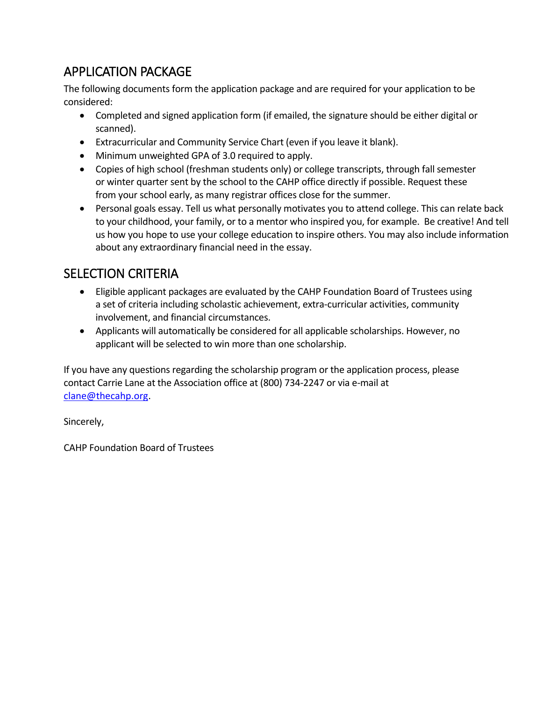# APPLICATION PACKAGE

The following documents form the application package and are required for your application to be considered:

- Completed and signed application form (if emailed, the signature should be either digital or scanned).
- Extracurricular and Community Service Chart (even if you leave it blank).
- Minimum unweighted GPA of 3.0 required to apply.
- Copies of high school (freshman students only) or college transcripts, through fall semester or winter quarter sent by the school to the CAHP office directly if possible. Request these from your school early, as many registrar offices close for the summer.
- Personal goals essay. Tell us what personally motivates you to attend college. This can relate back to your childhood, your family, or to a mentor who inspired you, for example. Be creative! And tell us how you hope to use your college education to inspire others. You may also include information about any extraordinary financial need in the essay.

### SELECTION CRITERIA

- Eligible applicant packages are evaluated by the CAHP Foundation Board of Trustees using a set of criteria including scholastic achievement, extra-curricular activities, community involvement, and financial circumstances.
- Applicants will automatically be considered for all applicable scholarships. However, no applicant will be selected to win more than one scholarship.

If you have any questions regarding the scholarship program or the application process, please contact Carrie Lane at the Association office at (800) 734-2247 or via e-mail at [clane@thecahp.org.](mailto:clane@thecahp.org)

Sincerely,

CAHP Foundation Board of Trustees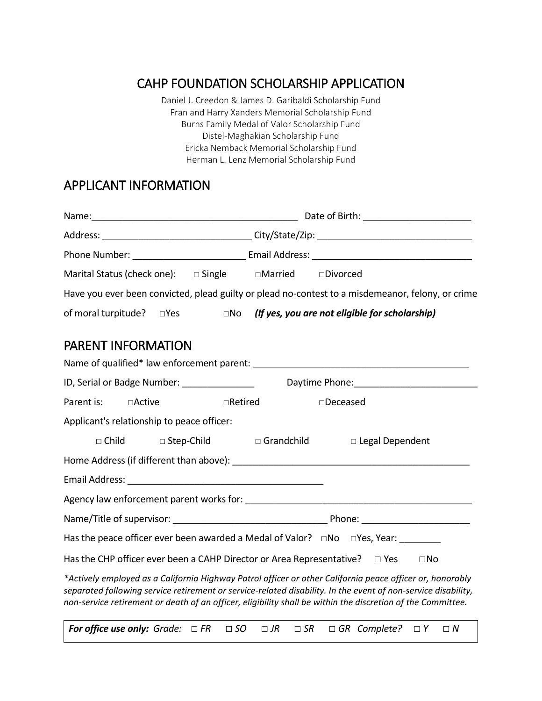## CAHP FOUNDATION SCHOLARSHIP APPLICATION

Daniel J. Creedon & James D. Garibaldi Scholarship Fund Fran and Harry Xanders Memorial Scholarship Fund Burns Family Medal of Valor Scholarship Fund Distel-Maghakian Scholarship Fund Ericka Nemback Memorial Scholarship Fund Herman L. Lenz Memorial Scholarship Fund

#### APPLICANT INFORMATION

|                                                                                  | Address: ________________________________City/State/Zip: _______________________                                                                                                                                                                                                                                                          |  |  |  |
|----------------------------------------------------------------------------------|-------------------------------------------------------------------------------------------------------------------------------------------------------------------------------------------------------------------------------------------------------------------------------------------------------------------------------------------|--|--|--|
|                                                                                  |                                                                                                                                                                                                                                                                                                                                           |  |  |  |
| Marital Status (check one): $\Box$ Single $\Box$ Married $\Box$ Divorced         |                                                                                                                                                                                                                                                                                                                                           |  |  |  |
|                                                                                  | Have you ever been convicted, plead guilty or plead no-contest to a misdemeanor, felony, or crime                                                                                                                                                                                                                                         |  |  |  |
| of moral turpitude?<br>$\square$ Yes                                             | $\Box$ No (If yes, you are not eligible for scholarship)                                                                                                                                                                                                                                                                                  |  |  |  |
| <b>PARENT INFORMATION</b>                                                        |                                                                                                                                                                                                                                                                                                                                           |  |  |  |
|                                                                                  |                                                                                                                                                                                                                                                                                                                                           |  |  |  |
| ID, Serial or Badge Number: _______________                                      |                                                                                                                                                                                                                                                                                                                                           |  |  |  |
| Parent is:<br>□Active                                                            | □Retired<br>□Deceased                                                                                                                                                                                                                                                                                                                     |  |  |  |
| Applicant's relationship to peace officer:                                       |                                                                                                                                                                                                                                                                                                                                           |  |  |  |
| $\Box$ Child<br>□ Step-Child                                                     | □ Legal Dependent<br>□ Grandchild                                                                                                                                                                                                                                                                                                         |  |  |  |
|                                                                                  |                                                                                                                                                                                                                                                                                                                                           |  |  |  |
|                                                                                  |                                                                                                                                                                                                                                                                                                                                           |  |  |  |
|                                                                                  |                                                                                                                                                                                                                                                                                                                                           |  |  |  |
|                                                                                  |                                                                                                                                                                                                                                                                                                                                           |  |  |  |
|                                                                                  | Has the peace officer ever been awarded a Medal of Valor? $\Box$ No $\Box$ Yes, Year:                                                                                                                                                                                                                                                     |  |  |  |
| Has the CHP officer ever been a CAHP Director or Area Representative? $\Box$ Yes | $\square$ No                                                                                                                                                                                                                                                                                                                              |  |  |  |
|                                                                                  | *Actively employed as a California Highway Patrol officer or other California peace officer or, honorably<br>separated following service retirement or service-related disability. In the event of non-service disability,<br>non-service retirement or death of an officer, eligibility shall be within the discretion of the Committee. |  |  |  |
| For office use only: Grade: $\Box$ FR                                            | $\Box$ SO $\Box$ JR<br>$\Box$ GR Complete? $\Box$ Y<br>$\Box$ SR<br>$\Box N$                                                                                                                                                                                                                                                              |  |  |  |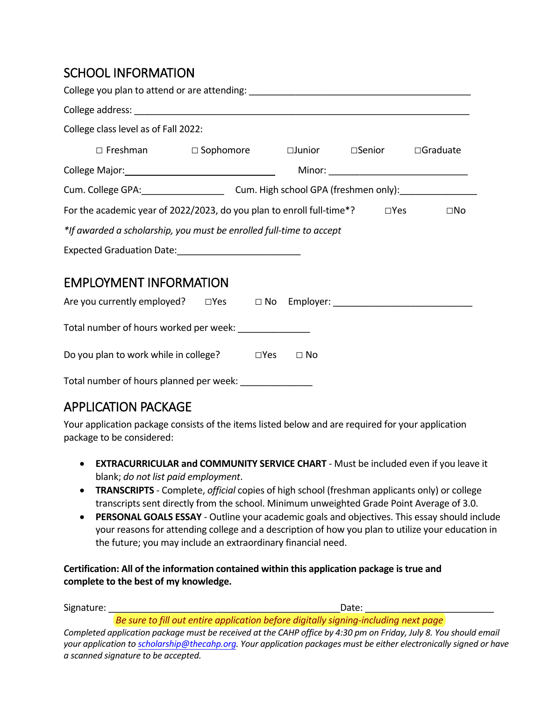### SCHOOL INFORMATION

| College class level as of Fall 2022:                                                                                                                                                                                           |  |  |  |  |                                       |
|--------------------------------------------------------------------------------------------------------------------------------------------------------------------------------------------------------------------------------|--|--|--|--|---------------------------------------|
| $\Box$ Freshman $\Box$ Sophomore $\Box$ Junior $\Box$ Senior $\Box$ Graduate                                                                                                                                                   |  |  |  |  |                                       |
| College Major: 1999 Major: 1999 Major: 1999 Major: 1999 Major: 1999 Major: 1999 Major: 1999 Major: 1999 Major: 1999 Major: 1999 Major: 1999 Major: 1999 Major: 1999 Major: 1999 Major: 1999 Major: 1999 Major: 1999 Major: 199 |  |  |  |  | Minor: ______________________________ |
| Cum. College GPA: Cum. High school GPA (freshmen only): Cum. College GPA:                                                                                                                                                      |  |  |  |  |                                       |
| For the academic year of 2022/2023, do you plan to enroll full-time*? $\Box$ Yes<br>$\square$ No                                                                                                                               |  |  |  |  |                                       |
| *If awarded a scholarship, you must be enrolled full-time to accept                                                                                                                                                            |  |  |  |  |                                       |
| Expected Graduation Date: ______________________________                                                                                                                                                                       |  |  |  |  |                                       |
| <b>EMPLOYMENT INFORMATION</b>                                                                                                                                                                                                  |  |  |  |  |                                       |
| Are you currently employed? □ Yes □ No Employer: _______________________________                                                                                                                                               |  |  |  |  |                                       |
| Total number of hours worked per week:                                                                                                                                                                                         |  |  |  |  |                                       |

|  |  | Do you plan to work while in college? | $\square$ Yes | $\Box$ No |
|--|--|---------------------------------------|---------------|-----------|
|--|--|---------------------------------------|---------------|-----------|

Total number of hours planned per week: \_\_\_\_\_\_\_\_\_\_\_\_\_\_\_

#### APPLICATION PACKAGE

Your application package consists of the items listed below and are required for your application package to be considered:

- **EXTRACURRICULAR and COMMUNITY SERVICE CHART** Must be included even if you leave it blank; *do not list paid employment*.
- **TRANSCRIPTS** Complete, *official* copies of high school (freshman applicants only) or college transcripts sent directly from the school. Minimum unweighted Grade Point Average of 3.0.
- **PERSONAL GOALS ESSAY** Outline your academic goals and objectives. This essay should include your reasons for attending college and a description of how you plan to utilize your education in the future; you may include an extraordinary financial need.

**Certification: All of the information contained within this application package is true and complete to the best of my knowledge.**

Signature: \_\_\_\_\_\_\_\_\_\_\_\_\_\_\_\_\_\_\_\_\_\_\_\_\_\_\_\_\_\_\_\_\_\_\_\_\_\_\_\_\_\_\_\_\_Date: \_\_\_\_\_\_\_\_\_\_\_\_\_\_\_\_\_\_\_\_\_\_\_\_\_

*Be sure to fill out entire application before digitally signing-including next page*  Completed application package must be received at the CAHP office by 4:30 pm on Friday, July 8. You should email *your application to [scholarship@thecahp.org.](mailto:scholarship@thecahp.org) Your application packages must be either electronically signed or have a scanned signature to be accepted.*